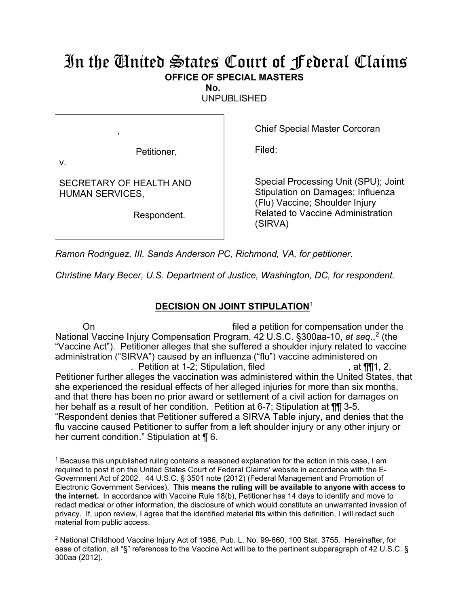## In the United States Court of Federal Claims **OFFICE OF SPECIAL MASTERS**

**No.** 

UNPUBLISHED

Petitioner,

Chief Special Master Corcoran

Filed:

v.

SECRETARY OF HEALTH AND HUMAN SERVICES,

,

Respondent.

Special Processing Unit (SPU); Joint Stipulation on Damages; Influenza (Flu) Vaccine; Shoulder Injury Related to Vaccine Administration (SIRVA)

*Ramon Rodriguez, III, Sands Anderson PC, Richmond, VA, for petitioner.*

*Christine Mary Becer, U.S. Department of Justice, Washington, DC, for respondent.*

## **DECISION ON JOINT STIPULATION**<sup>1</sup>

On filed a petition for compensation under the National Vaccine Injury Compensation Program, 42 U.S.C. §300aa-10, *et seq.*, <sup>2</sup> (the "Vaccine Act"). Petitioner alleges that she suffered a shoulder injury related to vaccine administration ("SIRVA") caused by an influenza ("flu") vaccine administered on . Petition at 1-2; Stipulation, filed  $\blacksquare$ , at  $\P\P$ 1, 2. Petitioner further alleges the vaccination was administered within the United States, that she experienced the residual effects of her alleged injuries for more than six months, and that there has been no prior award or settlement of a civil action for damages on her behalf as a result of her condition. Petition at 6-7; Stipulation at  $\P\P$  3-5. "Respondent denies that Petitioner suffered a SIRVA Table injury, and denies that the flu vaccine caused Petitioner to suffer from a left shoulder injury or any other injury or her current condition." Stipulation at ¶ 6.

 $\overline{a}$ <sup>1</sup> Because this unpublished ruling contains a reasoned explanation for the action in this case, I am required to post it on the United States Court of Federal Claims' website in accordance with the E-Government Act of 2002. 44 U.S.C. § 3501 note (2012) (Federal Management and Promotion of Electronic Government Services). **This means the ruling will be available to anyone with access to the internet.** In accordance with Vaccine Rule 18(b), Petitioner has 14 days to identify and move to redact medical or other information, the disclosure of which would constitute an unwarranted invasion of privacy. If, upon review, I agree that the identified material fits within this definition, I will redact such material from public access.

<sup>&</sup>lt;sup>2</sup> National Childhood Vaccine Injury Act of 1986, Pub. L. No. 99-660, 100 Stat. 3755. Hereinafter, for ease of citation, all "§" references to the Vaccine Act will be to the pertinent subparagraph of 42 U.S.C. § 300aa (2012).